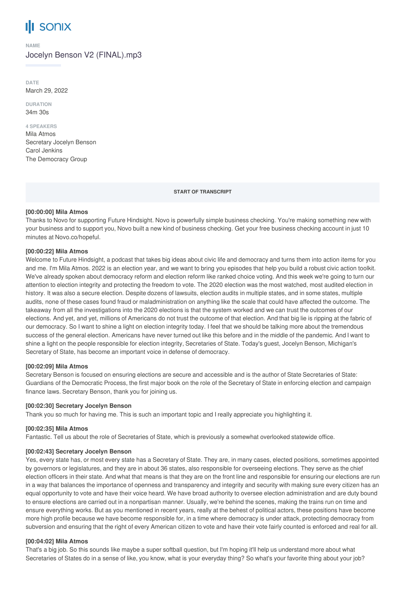# **SONIX**

#### **NAME**

Jocelyn Benson V2 (FINAL).mp3

**DATE** March 29, 2022

**DURATION** 34m 30s

#### **4 SPEAKERS**

Mila Atmos Secretary Jocelyn Benson Carol Jenkins The Democracy Group

**START OF TRANSCRIPT**

## **[00:00:00] Mila Atmos**

Thanks to Novo for supporting Future Hindsight. Novo is powerfully simple business checking. You're making something new with your business and to support you, Novo built a new kind of business checking. Get your free business checking account in just 10 minutes at Novo.co/hopeful.

# **[00:00:22] Mila Atmos**

Welcome to Future Hindsight, a podcast that takes big ideas about civic life and democracy and turns them into action items for you and me. I'm Mila Atmos. 2022 is an election year, and we want to bring you episodes that help you build a robust civic action toolkit. We've already spoken about democracy reform and election reform like ranked choice voting. And this week we're going to turn our attention to election integrity and protecting the freedom to vote. The 2020 election was the most watched, most audited election in history. It was also a secure election. Despite dozens of lawsuits, election audits in multiple states, and in some states, multiple audits, none of these cases found fraud or maladministration on anything like the scale that could have affected the outcome. The takeaway from all the investigations into the 2020 elections is that the system worked and we can trust the outcomes of our elections. And yet, and yet, millions of Americans do not trust the outcome of that election. And that big lie is ripping at the fabric of our democracy. So I want to shine a light on election integrity today. I feel that we should be talking more about the tremendous success of the general election. Americans have never turned out like this before and in the middle of the pandemic. And I want to shine a light on the people responsible for election integrity, Secretaries of State. Today's guest, Jocelyn Benson, Michigan's Secretary of State, has become an important voice in defense of democracy.

# **[00:02:09] Mila Atmos**

Secretary Benson is focused on ensuring elections are secure and accessible and is the author of State Secretaries of State: Guardians of the Democratic Process, the first major book on the role of the Secretary of State in enforcing election and campaign finance laws. Secretary Benson, thank you for joining us.

# **[00:02:30] Secretary Jocelyn Benson**

Thank you so much for having me. This is such an important topic and I really appreciate you highlighting it.

# **[00:02:35] Mila Atmos**

Fantastic. Tell us about the role of Secretaries of State, which is previously a somewhat overlooked statewide office.

# **[00:02:43] Secretary Jocelyn Benson**

Yes, every state has, or most every state has a Secretary of State. They are, in many cases, elected positions, sometimes appointed by governors or legislatures, and they are in about 36 states, also responsible for overseeing elections. They serve as the chief election officers in their state. And what that means is that they are on the front line and responsible for ensuring our elections are run in a way that balances the importance of openness and transparency and integrity and security with making sure every citizen has an equal opportunity to vote and have their voice heard. We have broad authority to oversee election administration and are duty bound to ensure elections are carried out in a nonpartisan manner. Usually, we're behind the scenes, making the trains run on time and ensure everything works. But as you mentioned in recent years, really at the behest of political actors, these positions have become more high profile because we have become responsible for, in a time where democracy is under attack, protecting democracy from subversion and ensuring that the right of every American citizen to vote and have their vote fairly counted is enforced and real for all.

# **[00:04:02] Mila Atmos**

That's a big job. So this sounds like maybe a super softball question, but I'm hoping it'll help us understand more about what Secretaries of States do in a sense of like, you know, what is your everyday thing? So what's your favorite thing about your job?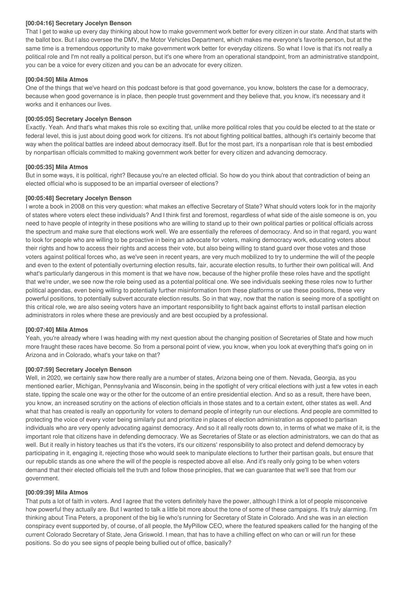# **[00:04:16] Secretary Jocelyn Benson**

That I get to wake up every day thinking about how to make government work better for every citizen in our state. And that starts with the ballot box. But I also oversee the DMV, the Motor Vehicles Department, which makes me everyone's favorite person, but at the same time is a tremendous opportunity to make government work better for everyday citizens. So what I love is that it's not really a political role and I'm not really a political person, but it's one where from an operational standpoint, from an administrative standpoint, you can be a voice for every citizen and you can be an advocate for every citizen.

# **[00:04:50] Mila Atmos**

One of the things that we've heard on this podcast before is that good governance, you know, bolsters the case for a democracy, because when good governance is in place, then people trust government and they believe that, you know, it's necessary and it works and it enhances our lives.

# **[00:05:05] Secretary Jocelyn Benson**

Exactly. Yeah. And that's what makes this role so exciting that, unlike more political roles that you could be elected to at the state or federal level, this is just about doing good work for citizens. It's not about fighting political battles, although it's certainly become that way when the political battles are indeed about democracy itself. But for the most part, it's a nonpartisan role that is best embodied by nonpartisan officials committed to making government work better for every citizen and advancing democracy.

# **[00:05:35] Mila Atmos**

But in some ways, it is political, right? Because you're an elected official. So how do you think about that contradiction of being an elected official who is supposed to be an impartial overseer of elections?

# **[00:05:48] Secretary Jocelyn Benson**

I wrote a book in 2008 on this very question: what makes an effective Secretary of State? What should voters look for in the majority of states where voters elect these individuals? And I think first and foremost, regardless of what side of the aisle someone is on, you need to have people of integrity in these positions who are willing to stand up to their own political parties or political officials across the spectrum and make sure that elections work well. We are essentially the referees of democracy. And so in that regard, you want to look for people who are willing to be proactive in being an advocate for voters, making democracy work, educating voters about their rights and how to access their rights and access their vote, but also being willing to stand guard over those votes and those voters against political forces who, as we've seen in recent years, are very much mobilized to try to undermine the will of the people and even to the extent of potentially overturning election results, fair, accurate election results, to further their own political will. And what's particularly dangerous in this moment is that we have now, because of the higher profile these roles have and the spotlight that we're under, we see now the role being used as a potential political one. We see individuals seeking these roles now to further political agendas, even being willing to potentially further misinformation from these platforms or use these positions, these very powerful positions, to potentially subvert accurate election results. So in that way, now that the nation is seeing more of a spotlight on this critical role, we are also seeing voters have an important responsibility to fight back against efforts to install partisan election administrators in roles where these are previously and are best occupied by a professional.

# **[00:07:40] Mila Atmos**

Yeah, you're already where I was heading with my next question about the changing position of Secretaries of State and how much more fraught these races have become. So from a personal point of view, you know, when you look at everything that's going on in Arizona and in Colorado, what's your take on that?

# **[00:07:59] Secretary Jocelyn Benson**

Well, in 2020, we certainly saw how there really are a number of states, Arizona being one of them. Nevada, Georgia, as you mentioned earlier, Michigan, Pennsylvania and Wisconsin, being in the spotlight of very critical elections with just a few votes in each state, tipping the scale one way or the other for the outcome of an entire presidential election. And so as a result, there have been, you know, an increased scrutiny on the actions of election officials in those states and to a certain extent, other states as well. And what that has created is really an opportunity for voters to demand people of integrity run our elections. And people are committed to protecting the voice of every voter being similarly put and prioritize in places of election administration as opposed to partisan individuals who are very openly advocating against democracy. And so it all really roots down to, in terms of what we make of it, is the important role that citizens have in defending democracy. We as Secretaries of State or as election administrators, we can do that as well. But it really in history teaches us that it's the voters, it's our citizens' responsibility to also protect and defend democracy by participating in it, engaging it, rejecting those who would seek to manipulate elections to further their partisan goals, but ensure that our republic stands as one where the will of the people is respected above all else. And it's really only going to be when voters demand that their elected officials tell the truth and follow those principles, that we can guarantee that we'll see that from our government.

# **[00:09:39] Mila Atmos**

That puts a lot of faith in voters. And I agree that the voters definitely have the power, although I think a lot of people misconceive how powerful they actually are. But I wanted to talk a little bit more about the tone of some of these campaigns. It's truly alarming. I'm thinking about Tina Peters, a proponent of the big lie who's running for Secretary of State in Colorado. And she was in an election conspiracy event supported by, of course, of all people, the MyPillow CEO, where the featured speakers called for the hanging of the current Colorado Secretary of State, Jena Griswold. I mean, that has to have a chilling effect on who can or will run for these positions. So do you see signs of people being bullied out of office, basically?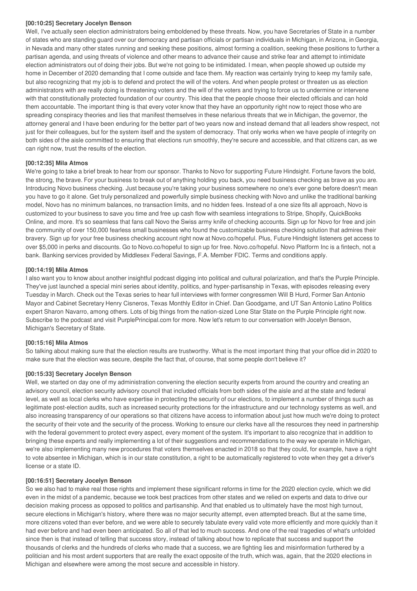## **[00:10:25] Secretary Jocelyn Benson**

Well, I've actually seen election administrators being emboldened by these threats. Now, you have Secretaries of State in a number of states who are standing guard over our democracy and partisan officials or partisan individuals in Michigan, in Arizona, in Georgia, in Nevada and many other states running and seeking these positions, almost forming a coalition, seeking these positions to further a partisan agenda, and using threats of violence and other means to advance their cause and strike fear and attempt to intimidate election administrators out of doing their jobs. But we're not going to be intimidated. I mean, when people showed up outside my home in December of 2020 demanding that I come outside and face them. My reaction was certainly trying to keep my family safe, but also recognizing that my job is to defend and protect the will of the voters. And when people protest or threaten us as election administrators with are really doing is threatening voters and the will of the voters and trying to force us to undermine or intervene with that constitutionally protected foundation of our country. This idea that the people choose their elected officials and can hold them accountable. The important thing is that every voter know that they have an opportunity right now to reject those who are spreading conspiracy theories and lies that manifest themselves in these nefarious threats that we in Michigan, the governor, the attorney general and I have been enduring for the better part of two years now and instead demand that all leaders show respect, not just for their colleagues, but for the system itself and the system of democracy. That only works when we have people of integrity on both sides of the aisle committed to ensuring that elections run smoothly, they're secure and accessible, and that citizens can, as we can right now, trust the results of the election.

# **[00:12:35] Mila Atmos**

We're going to take a brief break to hear from our sponsor. Thanks to Novo for supporting Future Hindsight. Fortune favors the bold, the strong, the brave. For your business to break out of anything holding you back, you need business checking as brave as you are. Introducing Novo business checking. Just because you're taking your business somewhere no one's ever gone before doesn't mean you have to go it alone. Get truly personalized and powerfully simple business checking with Novo and unlike the traditional banking model, Novo has no minimum balances, no transaction limits, and no hidden fees. Instead of a one size fits all approach, Novo is customized to your business to save you time and free up cash flow with seamless integrations to Stripe, Shopify, QuickBooks Online, and more. It's so seamless that fans call Novo the Swiss army knife of checking accounts. Sign up for Novo for free and join the community of over 150,000 fearless small businesses who found the customizable business checking solution that admires their bravery. Sign up for your free business checking account right now at Novo.co/hopeful. Plus, Future Hindsight listeners get access to over \$5,000 in perks and discounts. Go to Novo.co/hopeful to sign up for free. Novo.co/hopeful. Novo Platform Inc is a fintech, not a bank. Banking services provided by Middlesex Federal Savings, F.A. Member FDIC. Terms and conditions apply.

## **[00:14:19] Mila Atmos**

I also want you to know about another insightful podcast digging into political and cultural polarization, and that's the Purple Principle. They've just launched a special mini series about identity, politics, and hyper-partisanship in Texas, with episodes releasing every Tuesday in March. Check out the Texas series to hear full interviews with former congressmen Will B Hurd, Former San Antonio Mayor and Cabinet Secretary Henry Cisneros, Texas Monthly Editor in Chief. Dan Goodgame, and UT San Antonio Latino Politics expert Sharon Navarro, among others. Lots of big things from the nation-sized Lone Star State on the Purple Principle right now. Subscribe to the podcast and visit PurplePrincipal.com for more. Now let's return to our conversation with Jocelyn Benson, Michigan's Secretary of State.

## **[00:15:16] Mila Atmos**

So talking about making sure that the election results are trustworthy. What is the most important thing that your office did in 2020 to make sure that the election was secure, despite the fact that, of course, that some people don't believe it?

# **[00:15:33] Secretary Jocelyn Benson**

Well, we started on day one of my administration convening the election security experts from around the country and creating an advisory council, election security advisory council that included officials from both sides of the aisle and at the state and federal level, as well as local clerks who have expertise in protecting the security of our elections, to implement a number of things such as legitimate post-election audits, such as increased security protections for the infrastructure and our technology systems as well, and also increasing transparency of our operations so that citizens have access to information about just how much we're doing to protect the security of their vote and the security of the process. Working to ensure our clerks have all the resources they need in partnership with the federal government to protect every aspect, every moment of the system. It's important to also recognize that in addition to bringing these experts and really implementing a lot of their suggestions and recommendations to the way we operate in Michigan, we're also implementing many new procedures that voters themselves enacted in 2018 so that they could, for example, have a right to vote absentee in Michigan, which is in our state constitution, a right to be automatically registered to vote when they get a driver's license or a state ID.

## **[00:16:51] Secretary Jocelyn Benson**

So we also had to make real those rights and implement these significant reforms in time for the 2020 election cycle, which we did even in the midst of a pandemic, because we took best practices from other states and we relied on experts and data to drive our decision making process as opposed to politics and partisanship. And that enabled us to ultimately have the most high turnout, secure elections in Michigan's history, where there was no major security attempt, even attempted breach. But at the same time, more citizens voted than ever before, and we were able to securely tabulate every valid vote more efficiently and more quickly than it had ever before and had even been anticipated. So all of that led to much success. And one of the real tragedies of what's unfolded since then is that instead of telling that success story, instead of talking about how to replicate that success and support the thousands of clerks and the hundreds of clerks who made that a success, we are fighting lies and misinformation furthered by a politician and his most ardent supporters that are really the exact opposite of the truth, which was, again, that the 2020 elections in Michigan and elsewhere were among the most secure and accessible in history.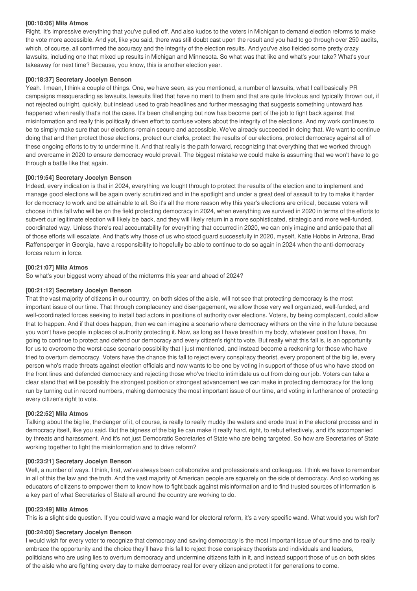## **[00:18:06] Mila Atmos**

Right. It's impressive everything that you've pulled off. And also kudos to the voters in Michigan to demand election reforms to make the vote more accessible. And yet, like you said, there was still doubt cast upon the result and you had to go through over 250 audits, which, of course, all confirmed the accuracy and the integrity of the election results. And you've also fielded some pretty crazy lawsuits, including one that mixed up results in Michigan and Minnesota. So what was that like and what's your take? What's your takeaway for next time? Because, you know, this is another election year.

#### **[00:18:37] Secretary Jocelyn Benson**

Yeah. I mean, I think a couple of things. One, we have seen, as you mentioned, a number of lawsuits, what I call basically PR campaigns masquerading as lawsuits, lawsuits filed that have no merit to them and that are quite frivolous and typically thrown out, if not rejected outright, quickly, but instead used to grab headlines and further messaging that suggests something untoward has happened when really that's not the case. It's been challenging but now has become part of the job to fight back against that misinformation and really this politically driven effort to confuse voters about the integrity of the elections. And my work continues to be to simply make sure that our elections remain secure and accessible. We've already succeeded in doing that. We want to continue doing that and then protect those elections, protect our clerks, protect the results of our elections, protect democracy against all of these ongoing efforts to try to undermine it. And that really is the path forward, recognizing that everything that we worked through and overcame in 2020 to ensure democracy would prevail. The biggest mistake we could make is assuming that we won't have to go through a battle like that again.

## **[00:19:54] Secretary Jocelyn Benson**

Indeed, every indication is that in 2024, everything we fought through to protect the results of the election and to implement and manage good elections will be again overly scrutinized and in the spotlight and under a great deal of assault to try to make it harder for democracy to work and be attainable to all. So it's all the more reason why this year's elections are critical, because voters will choose in this fall who will be on the field protecting democracy in 2024, when everything we survived in 2020 in terms of the efforts to subvert our legitimate election will likely be back, and they will likely return in a more sophisticated, strategic and more well-funded, coordinated way. Unless there's real accountability for everything that occurred in 2020, we can only imagine and anticipate that all of those efforts will escalate. And that's why those of us who stood guard successfully in 2020, myself, Katie Hobbs in Arizona, Brad Raffensperger in Georgia, have a responsibility to hopefully be able to continue to do so again in 2024 when the anti-democracy forces return in force.

#### **[00:21:07] Mila Atmos**

So what's your biggest worry ahead of the midterms this year and ahead of 2024?

#### **[00:21:12] Secretary Jocelyn Benson**

That the vast majority of citizens in our country, on both sides of the aisle, will not see that protecting democracy is the most important issue of our time. That through complacency and disengagement, we allow those very well organized, well-funded, and well-coordinated forces seeking to install bad actors in positions of authority over elections. Voters, by being complacent, could allow that to happen. And if that does happen, then we can imagine a scenario where democracy withers on the vine in the future because you won't have people in places of authority protecting it. Now, as long as I have breath in my body, whatever position I have, I'm going to continue to protect and defend our democracy and every citizen's right to vote. But really what this fall is, is an opportunity for us to overcome the worst-case scenario possibility that I just mentioned, and instead become a reckoning for those who have tried to overturn democracy. Voters have the chance this fall to reject every conspiracy theorist, every proponent of the big lie, every person who's made threats against election officials and now wants to be one by voting in support of those of us who have stood on the front lines and defended democracy and rejecting those who've tried to intimidate us out from doing our job. Voters can take a clear stand that will be possibly the strongest position or strongest advancement we can make in protecting democracy for the long run by turning out in record numbers, making democracy the most important issue of our time, and voting in furtherance of protecting every citizen's right to vote.

#### **[00:22:52] Mila Atmos**

Talking about the big lie, the danger of it, of course, is really to really muddy the waters and erode trust in the electoral process and in democracy itself, like you said. But the bigness of the big lie can make it really hard, right, to rebut effectively, and it's accompanied by threats and harassment. And it's not just Democratic Secretaries of State who are being targeted. So how are Secretaries of State working together to fight the misinformation and to drive reform?

## **[00:23:21] Secretary Jocelyn Benson**

Well, a number of ways. I think, first, we've always been collaborative and professionals and colleagues. I think we have to remember in all of this the law and the truth. And the vast majority of American people are squarely on the side of democracy. And so working as educators of citizens to empower them to know how to fight back against misinformation and to find trusted sources of information is a key part of what Secretaries of State all around the country are working to do.

#### **[00:23:49] Mila Atmos**

This is a slight side question. If you could wave a magic wand for electoral reform, it's a very specific wand. What would you wish for?

#### **[00:24:00] Secretary Jocelyn Benson**

I would wish for every voter to recognize that democracy and saving democracy is the most important issue of our time and to really embrace the opportunity and the choice they'll have this fall to reject those conspiracy theorists and individuals and leaders, politicians who are using lies to overturn democracy and undermine citizens faith in it, and instead support those of us on both sides of the aisle who are fighting every day to make democracy real for every citizen and protect it for generations to come.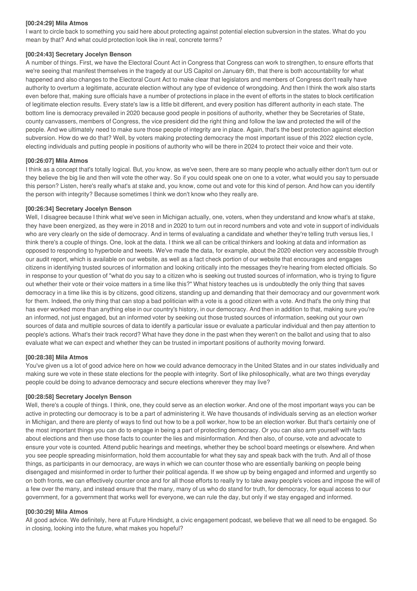## **[00:24:29] Mila Atmos**

I want to circle back to something you said here about protecting against potential election subversion in the states. What do you mean by that? And what could protection look like in real, concrete terms?

#### **[00:24:43] Secretary Jocelyn Benson**

A number of things. First, we have the Electoral Count Act in Congress that Congress can work to strengthen, to ensure efforts that we're seeing that manifest themselves in the tragedy at our US Capitol on January 6th, that there is both accountability for what happened and also changes to the Electoral Count Act to make clear that legislators and members of Congress don't really have authority to overturn a legitimate, accurate election without any type of evidence of wrongdoing. And then I think the work also starts even before that, making sure officials have a number of protections in place in the event of efforts in the states to block certification of legitimate election results. Every state's law is a little bit different, and every position has different authority in each state. The bottom line is democracy prevailed in 2020 because good people in positions of authority, whether they be Secretaries of State, county canvassers, members of Congress, the vice president did the right thing and follow the law and protected the will of the people. And we ultimately need to make sure those people of integrity are in place. Again, that's the best protection against election subversion. How do we do that? Well, by voters making protecting democracy the most important issue of this 2022 election cycle, electing individuals and putting people in positions of authority who will be there in 2024 to protect their voice and their vote.

#### **[00:26:07] Mila Atmos**

I think as a concept that's totally logical. But, you know, as we've seen, there are so many people who actually either don't turn out or they believe the big lie and then will vote the other way. So if you could speak one on one to a voter, what would you say to persuade this person? Listen, here's really what's at stake and, you know, come out and vote for this kind of person. And how can you identify the person with integrity? Because sometimes I think we don't know who they really are.

#### **[00:26:34] Secretary Jocelyn Benson**

Well, I disagree because I think what we've seen in Michigan actually, one, voters, when they understand and know what's at stake, they have been energized, as they were in 2018 and in 2020 to turn out in record numbers and vote and vote in support of individuals who are very clearly on the side of democracy. And in terms of evaluating a candidate and whether they're telling truth versus lies, I think there's a couple of things. One, look at the data. I think we all can be critical thinkers and looking at data and information as opposed to responding to hyperbole and tweets. We've made the data, for example, about the 2020 election very accessible through our audit report, which is available on our website, as well as a fact check portion of our website that encourages and engages citizens in identifying trusted sources of information and looking critically into the messages they're hearing from elected officials. So in response to your question of "what do you say to a citizen who is seeking out trusted sources of information, who is trying to figure out whether their vote or their voice matters in a time like this?" What history teaches us is undoubtedly the only thing that saves democracy in a time like this is by citizens, good citizens, standing up and demanding that their democracy and our government work for them. Indeed, the only thing that can stop a bad politician with a vote is a good citizen with a vote. And that's the only thing that has ever worked more than anything else in our country's history, in our democracy. And then in addition to that, making sure you're an informed, not just engaged, but an informed voter by seeking out those trusted sources of information, seeking out your own sources of data and multiple sources of data to identify a particular issue or evaluate a particular individual and then pay attention to people's actions. What's their track record? What have they done in the past when they weren't on the ballot and using that to also evaluate what we can expect and whether they can be trusted in important positions of authority moving forward.

## **[00:28:38] Mila Atmos**

You've given us a lot of good advice here on how we could advance democracy in the United States and in our states individually and making sure we vote in these state elections for the people with integrity. Sort of like philosophically, what are two things everyday people could be doing to advance democracy and secure elections wherever they may live?

#### **[00:28:58] Secretary Jocelyn Benson**

Well, there's a couple of things. I think, one, they could serve as an election worker. And one of the most important ways you can be active in protecting our democracy is to be a part of administering it. We have thousands of individuals serving as an election worker in Michigan, and there are plenty of ways to find out how to be a poll worker, how to be an election worker. But that's certainly one of the most important things you can do to engage in being a part of protecting democracy. Or you can also arm yourself with facts about elections and then use those facts to counter the lies and misinformation. And then also, of course, vote and advocate to ensure your vote is counted. Attend public hearings and meetings, whether they be school board meetings or elsewhere. And when you see people spreading misinformation, hold them accountable for what they say and speak back with the truth. And all of those things, as participants in our democracy, are ways in which we can counter those who are essentially banking on people being disengaged and misinformed in order to further their political agenda. If we show up by being engaged and informed and urgently so on both fronts, we can effectively counter once and for all those efforts to really try to take away people's voices and impose the will of a few over the many, and instead ensure that the many, many of us who do stand for truth, for democracy, for equal access to our government, for a government that works well for everyone, we can rule the day, but only if we stay engaged and informed.

#### **[00:30:29] Mila Atmos**

All good advice. We definitely, here at Future Hindsight, a civic engagement podcast, we believe that we all need to be engaged. So in closing, looking into the future, what makes you hopeful?